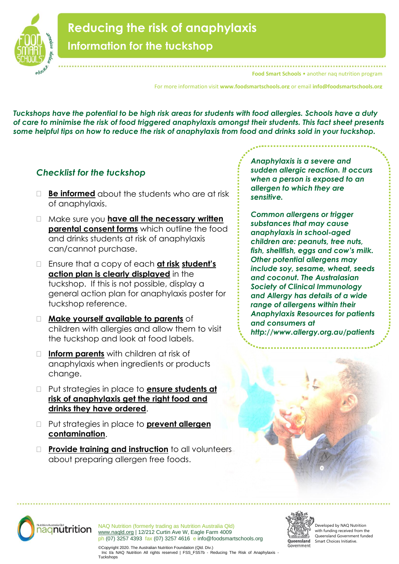

## **Reducing the risk of anaphylaxis Information for the tuckshop**

**Food Smart Schools** • another nag nutrition program

For more information visit **www.foodsmartschools.org** or email **info@foodsmartschools.org**

*Tuckshops have the potential to be high risk areas for students with food allergies. Schools have a duty of care to minimise the risk of food triggered anaphylaxis amongst their students. This fact sheet presents some helpful tips on how to reduce the risk of anaphylaxis from food and drinks sold in your tuckshop.*

## *Checklist for the tuckshop*

<u>.</u><br>For tuckshops how the control of the

- **Be informed** about the students who are at risk of anaphylaxis.
- Make sure you **have all the necessary written parental consent forms** which outline the food and drinks students at risk of anaphylaxis can/cannot purchase.
- Ensure that a copy of each **at risk student's action plan is clearly displayed** in the tuckshop. If this is not possible, display a general action plan for anaphylaxis poster for tuckshop reference.
- **Make yourself available to parents** of children with allergies and allow them to visit the tuckshop and look at food labels.
- **Inform parents** with children at risk of anaphylaxis when ingredients or products change.
- Put strategies in place to **ensure students at risk of anaphylaxis get the right food and drinks they have ordered**.
- Put strategies in place to **prevent allergen contamination**.
- **Provide training and instruction** to all volunteers about preparing allergen free foods.

*Anaphylaxis is a severe and sudden allergic reaction. It occurs when a person is exposed to an allergen to which they are sensitive.*

*Common allergens or trigger substances that may cause anaphylaxis in school-aged children are: peanuts, tree nuts, fish, shellfish, eggs and cow's milk. Other potential allergens may include soy, sesame, wheat, seeds and coconut. The Australasian Society of Clinical Immunology and Allergy has details of a wide range of allergens within their Anaphylaxis Resources for patients and consumers at http://www.allergy.org.au/patients*





NAQ Nutrition (formerly trading as Nutrition Australia Qld) [www.naqld.org](http://www.naqld.org/) | 12/212 Curtin Ave W, Eagle Farm 4009 ph (07) 3257 4393 fax (07) 3257 4616 e info@foodsmartschools.org



Developed by NAQ Nutrition with funding received from the Queensland Government funded Smart Choices Initiative.

©Copyright 2020. The Australian Nutrition Foundation (Qld. Div.) Inc t/a NAQ Nutrition All rights reserved | FSS\_FS57b - Reducing The Risk of Anaphylaxis - **Tuckshops**